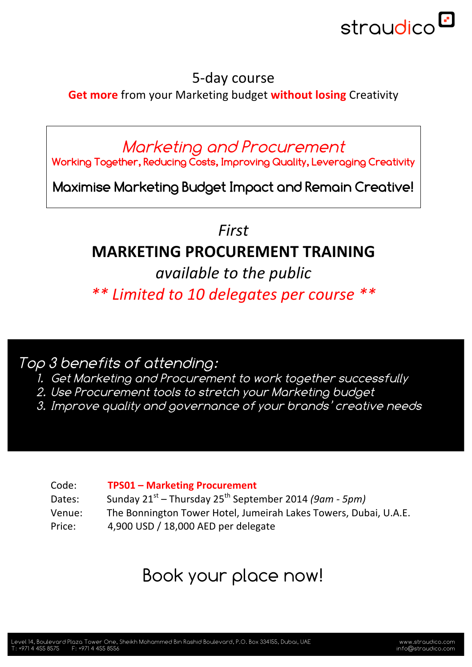

## 5-day course

**Get more** from your Marketing budget **without losing** Creativity

Marketing and Procurement

**Working Together, Reducing Costs, Improving Quality, Leveraging Creativity**

**Maximise Marketing Budget Impact and Remain Creative!**

*First*

## **MARKETING PROCUREMENT TRAINING**

*available to the public \*\* Limited to 10 delegates per course \*\**

Top 3 benefits of attending:

- 1. Get Marketing and Procurement to work together successfully
- 2. Use Procurement tools to stretch your Marketing budget
- 3. Improve quality and governance of your brands' creative needs

| Code:  | <b>TPS01 - Marketing Procurement</b>                             |
|--------|------------------------------------------------------------------|
| Dates: | Sunday $21^{st}$ – Thursday $25^{th}$ September 2014 (9am - 5pm) |
| Venue: | The Bonnington Tower Hotel, Jumeirah Lakes Towers, Dubai, U.A.E. |
| Price: | 4,900 USD / 18,000 AED per delegate                              |

# Book your place now!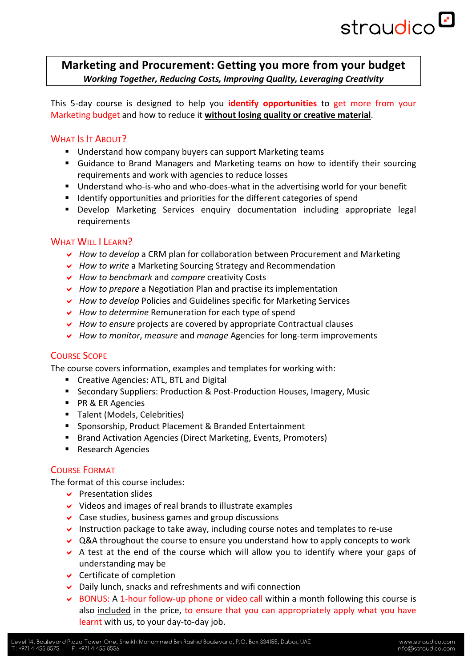# straudico<sup>D</sup>

#### **Marketing and Procurement: Getting you more from your budget** *Working Together, Reducing Costs, Improving Quality, Leveraging Creativity*

This 5-day course is designed to help you **identify opportunities** to get more from your Marketing budget and how to reduce it without losing quality or creative material.

#### WHAT IS IT ABOUT?

- Understand how company buyers can support Marketing teams
- Guidance to Brand Managers and Marketing teams on how to identify their sourcing requirements and work with agencies to reduce losses
- Understand who-is-who and who-does-what in the advertising world for your benefit
- Identify opportunities and priorities for the different categories of spend
- **.** Develop Marketing Services enquiry documentation including appropriate legal requirements

#### WHAT WILL I LEARN?

- *How to develop* a CRM plan for collaboration between Procurement and Marketing
- **►** *How to write* a Marketing Sourcing Strategy and Recommendation
- ! *How to benchmark* and *compare* creativity Costs
- **►** *How to prepare* a Negotiation Plan and practise its implementation
- ↓ *How to develop* Policies and Guidelines specific for Marketing Services
- **►** *How to determine* Remuneration for each type of spend
- ► *How to ensure* projects are covered by appropriate Contractual clauses
- 

#### **COURSE SCOPE**

The course covers information, examples and templates for working with:

- Creative Agencies: ATL, BTL and Digital
- **E** Secondary Suppliers: Production & Post-Production Houses, Imagery, Music
- PR & ER Agencies
- Talent (Models, Celebrities)
- Sponsorship, Product Placement & Branded Entertainment
- Brand Activation Agencies (Direct Marketing, Events, Promoters)
- Research Agencies

#### COURSE FORMAT

The format of this course includes:

- $\vee$  Presentation slides
- $\vee$  Videos and images of real brands to illustrate examples
- $\vee$  Case studies, business games and group discussions
- $\vee$  Instruction package to take away, including course notes and templates to re-use
- $\vee$  Q&A throughout the course to ensure you understand how to apply concepts to work
- $\triangleright$  A test at the end of the course which will allow you to identify where your gaps of understanding may be
- $\vee$  Certificate of completion
- $\triangleright$  Daily lunch, snacks and refreshments and wifi connection
- $\triangleright$  BONUS: A 1-hour follow-up phone or video call within a month following this course is also included in the price, to ensure that you can appropriately apply what you have learnt with us, to your day-to-day job.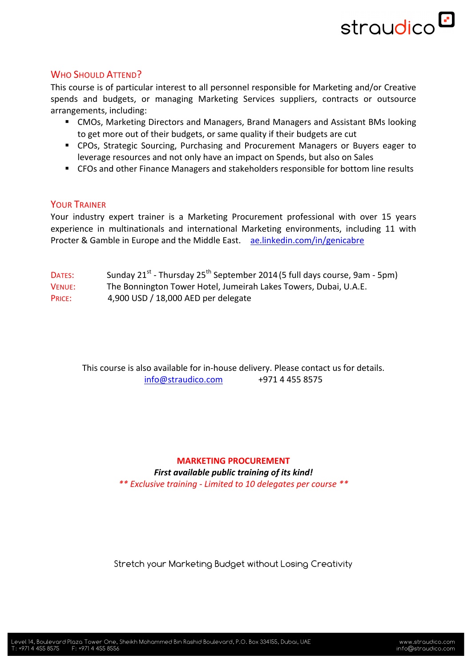

#### WHO SHOULD ATTEND?

This course is of particular interest to all personnel responsible for Marketing and/or Creative spends and budgets, or managing Marketing Services suppliers, contracts or outsource arrangements, including:

- **E** CMOs, Marketing Directors and Managers, Brand Managers and Assistant BMs looking to get more out of their budgets, or same quality if their budgets are cut
- CPOs, Strategic Sourcing, Purchasing and Procurement Managers or Buyers eager to leverage resources and not only have an impact on Spends, but also on Sales
- CFOs and other Finance Managers and stakeholders responsible for bottom line results

#### YOUR TRAINER

Your industry expert trainer is a Marketing Procurement professional with over 15 years experience in multinationals and international Marketing environments, including 11 with Procter & Gamble in Europe and the Middle East. ae.linkedin.com/in/genicabre

- DATES: Sunday  $21^{st}$  Thursday  $25^{th}$  September 2014 (5 full days course, 9am 5pm)
- VENUE: The Bonnington Tower Hotel, Jumeirah Lakes Towers, Dubai, U.A.E.
- PRICE: 4,900 USD / 18,000 AED per delegate

This course is also available for in-house delivery. Please contact us for details.  $info@straudico.com$  +971 4 455 8575

### **MARKETING PROCUREMENT** First available public training of its kind!

*\*\* Exclusive training - Limited to 10 delegates per course \*\**

Stretch your Marketing Budget without Losing Creativity